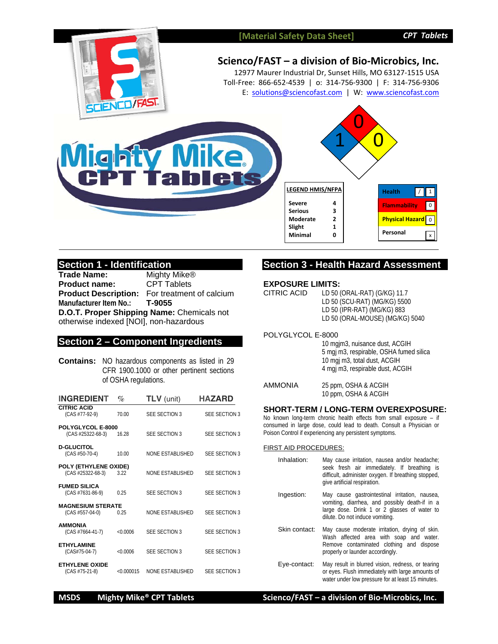# **[Material Safety Data Sheet]** *CPT Tablets*



# **Scienco/FAST – a division of Bio‐Microbics, Inc.**

12977 Maurer Industrial Dr, Sunset Hills, MO 63127‐1515 USA Toll‐Free: 866‐652‐4539 | o: 314‐756‐9300 | F: 314‐756‐9306 E: solutions@sciencofast.com | W: www.sciencofast.com





# **Section 1 - Identification**

**Trade Name:** Mighty Mike®<br>**Product name:** CPT Tablets **Product name: Product Description:** For treatment of calcium **Manufacturer Item No.: T-9055 D.O.T. Proper Shipping Name:** Chemicals not otherwise indexed [NOI], non-hazardous

## **Section 2 – Component Ingredients**

**Contains:** NO hazardous components as listed in 29 CFR 1900.1000 or other pertinent sections of OSHA regulations.

| <b>HAZARD</b>        |
|----------------------|
| <b>SEE SECTION 3</b> |
| <b>SFF SECTION 3</b> |
| <b>SFF SECTION 3</b> |
| <b>SFF SECTION 3</b> |
| <b>SFF SECTION 3</b> |
| <b>SFF SECTION 3</b> |
| <b>SFF SECTION 3</b> |
| <b>SFF SECTION 3</b> |
| <b>SFF SECTION 3</b> |
|                      |

# **Section 3 - Health Hazard Assessment**

#### **EXPOSURE LIMITS:**

| <b>CITRIC ACID</b> | LD 50 (ORAL-RAT) (G/KG) 11.7    |
|--------------------|---------------------------------|
|                    | LD 50 (SCU-RAT) (MG/KG) 5500    |
|                    | LD 50 (IPR-RAT) (MG/KG) 883     |
|                    | LD 50 (ORAL-MOUSE) (MG/KG) 5040 |
|                    |                                 |

# POLYGLYCOL E-8000

| 10 mgjm3, nuisance dust, ACGIH          |
|-----------------------------------------|
| 5 mgj m3, respirable, OSHA fumed silica |
| 10 mgj m3, total dust, ACGIH            |
| 4 mgj m3, respirable dust, ACGIH        |

| <b>AMMONIA</b> | 25 ppm, OSHA & ACGIH |
|----------------|----------------------|
|                | 10 ppm, OSHA & ACGIH |

#### **SHORT-TERM / LONG-TERM OVEREXPOSURE:**

No known long-term chronic health effects from small exposure – if consumed in large dose, could lead to death. Consult a Physician or Poison Control if experiencing any persistent symptoms.

#### FIRST AID PROCEDURES:

| Inhalation:   | May cause irritation, nausea and/or headache;<br>seek fresh air immediately. If breathing is<br>difficult, administer oxygen. If breathing stopped,<br>give artificial respiration. |
|---------------|-------------------------------------------------------------------------------------------------------------------------------------------------------------------------------------|
| Ingestion:    | May cause gastrointestinal irritation, nausea,<br>vomiting, diarrhea, and possibly death-if in a<br>large dose. Drink 1 or 2 glasses of water to<br>dilute. Do not induce vomiting. |
| Skin contact: | May cause moderate irritation, drying of skin.<br>Wash affected area with soap and water.<br>Remove contaminated clothing and dispose<br>properly or launder accordingly.           |
| Fve-contact:  | May result in blurred vision redness or tearing                                                                                                                                     |

Eye-contact: May result in blurred vision, redness, or tearing or eyes. Flush immediately with large amounts of water under low pressure for at least 15 minutes.